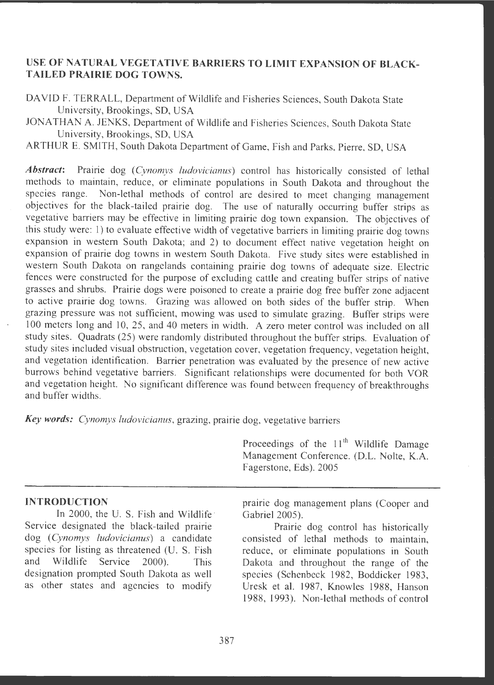# **USE OF NATURAL VEGETATIVE BARRIERS TO LIMIT EXPANSION OF BLACK-T AILED PRAIRIE DOG TOWNS.**

DAVID F. TERRALL, Department of Wildlife and Fisheries Sciences, South Dakota State University, Brookings, SD, USA

JONATHAN A. JENKS, Department of Wildlife and Fisheries Sciences, South Dakota State University, Brookings, SD, USA

ARTHUR E. SMITH, South Dakota Department of Game, Fish and Parks, Pierre, SD, USA

*Abstract:* Prairie dog *(Cynomys ludovicianus)* control has historically consisted of lethal methods to maintain, reduce, or eliminate populations in South Dakota and throughout the species range. Non-lethal methods of control are desired to meet changing management Non-lethal methods of control are desired to meet changing management objectives for the black-tailed prairie dog. The use of naturally occurring buffer strips as vegetative barriers may be effective in limiting prairie dog town expansion. The objectives of this study were: 1) to evaluate effective width of vegetative barriers in limiting prairie dog towns expansion in western South Dakota; and 2) to document effect native vegetation height on expansion of prairie dog towns in western South Dakota. Five study sites were established in western South Dakota on rangelands containing prairie dog towns of adequate size . Electric fences were constructed for the purpose of excluding cattle and creating buffer strips of native grasses and shrubs. Prairie dogs were poisoned to create a prairie dog free buffer zone adjacent to active prairie dog towns. Grazing was allowed on both sides of the buffer strip . When grazing pressure was not sufficient, mowing was used to simulate grazing. Buffer strips were I 00 meters long and 10, 25, and 40 meters in width. A zero meter control was included on all study sites. Quadrats (25) were randomly distributed throughout the buffer strips. Evaluation of study sites included visual obstruction, vegetation cover, vegetation frequency, vegetation height, and vegetation identification. Barrier penetration was evaluated by the presence of new active burrows behind vegetative barriers. Significant relationships were documented for both VOR and vegetation height. No significant difference was found between frequency of breakthroughs and buffer widths.

**Key words:** *Cynomys ludovicianus*, grazing, prairie dog, vegetative barriers

Proceedings of the  $11<sup>th</sup>$  Wildlife Damage Management Conference. (D.L. Nolte, K.A. Fagerstone, Eds). 2005

## **INTRODUCTION**

In 2000, the U. S. Fish and Wildlife Service designated the black-tailed prairie dog *(Cynomys ludovicianus)* a candidate species for listing as threatened (U. S. Fish and Wildlife Service 2000). This designation prompted South Dakota as well as other states and agencies to modify

prairie dog management plans (Cooper and Gabriel 2005).

Prairie dog control has historically consisted of lethal methods to maintain, reduce, or eliminate populations in South Dakota and throughout the range of the species (Schenbeck 1982, Boddicker 1983, Uresk et al. 1987, Knowles 1988, Hanson 1988, 1993). Non-lethal methods of control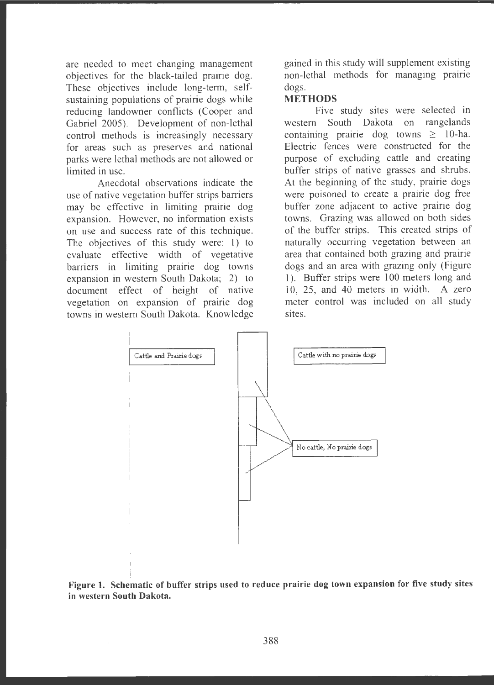are needed to meet changing management objectives for the black-tailed prairie dog. These objectives include long-term, selfsustaining populations of prairie dogs while reducing landowner conflicts (Cooper and Gabriel 2005). Development of non-lethal control methods is increasingly necessary for areas such as preserves and national parks were lethal methods are not allowed or limited in use .

Anecdotal observations indicate the use of native vegetation buffer strips barriers may be effective in limiting prairie dog expansion. However, no information exists on use and success rate of this technique. The objectives of this study were: 1) to evaluate effective width of vegetative barriers in limiting prairie dog towns expansion in western South Dakota; 2) to document effect of height of native vegetation on expansion of prairie dog towns in western South Dakota. Knowledge

gained in this study will supplement existing non-lethal methods for managing prairie dogs.

## **METHODS**

Five study sites were selected in western South Dakota on rangelands containing prairie dog towns  $\geq$  10-ha. Electric fences were constructed for the purpose of excluding cattle and creating buffer strips of native grasses and shrubs. At the beginning of the study, prairie dogs were poisoned to create a prairie dog free buffer zone adjacent to active prairie dog towns. Grazing was allowed on both sides of the buffer strips. This created strips of naturally occurring vegetation between an area that contained both grazing and prairie dogs and an area with grazing only (Figure 1). Buffer strips were 100 meters long and 10, 25, and 40 meters in width. A zero meter control was included on all study sites.



**Figure 1. Schematic of buffer strips used to reduce prairie dog town expansion for five study sites in western South Dakota.**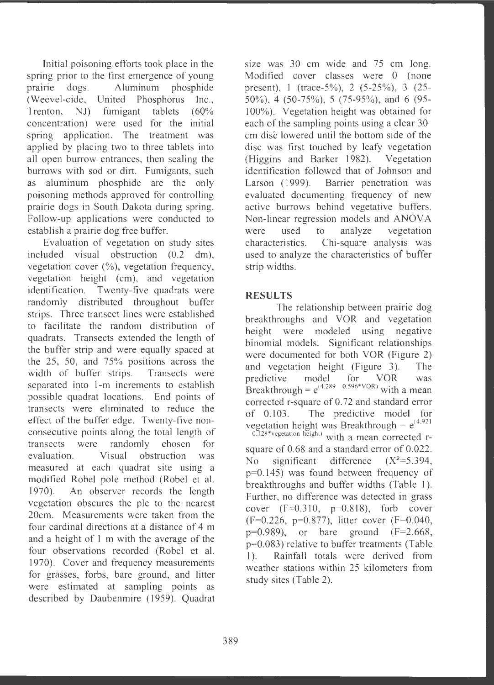Initial poisoning efforts took place in the spring prior to the first emergence of young prairie dogs. Aluminum phosphide (Weevel-cide, United Phosphorus Inc., Trenton, NJ) fumigant tablets (60%) concentration) were used for the initial spring application. The treatment was applied by placing two to three tablets into all open burrow entrances, then sealing the burrows with sod or dirt. Fumigants, such as aluminum phosphide are the only poisoning methods approved for controlling prairie dogs in South Dakota during spring. Follow-up applications were conducted to establish a prairie dog free buffer.

Evaluation of vegetation on study sites included visual obstruction (0.2 dm), vegetation cover  $(\%)$ , vegetation frequency, vegetation height (cm), and vegetation identification. Twenty-five quadrats were randomly distributed throughout buffer strips. Three transect lines were established to facilitate the random distribution of quadrats. Transects extended the length of the buffer strip and were equally spaced at the 25, 50, and 75% positions across the width of buffer strips. Transects were separated into 1-m increments to establish possible quadrat locations. End points of transects were eliminated to reduce the effect of the buffer edge. Twenty-five nonconsecutive points along the total length of transects were randomly chosen for evaluation . Visual obstruction was measured at each quadrat site using a modified Robel pole method (Robel et al. 1970). An observer records the length vegetation obscures the pie to the nearest 20cm. Measurements were taken from the four cardinal directions at a distance of 4 m and a height of 1 m with the average of the four observations recorded (Robel et al. 1970). Cover and frequency measurements for grasses, forbs, bare ground, and litter were estimated at sampling points as described by Daubenmire (1959). Quadrat size was 30 cm wide and 75 cm long. Modified cover classes were O (none present), 1 (trace-5%), 2 (5-25%), 3 (25-50%), 4 (50-75%), 5 (75-95%), and 6 (95-100%). Vegetation height was obtained for each of the sampling points using a clear 30 cm disc lowered until the bottom side of the disc was first touched by leafy vegetation (Higgins and Barker 1982). Vegetation identification followed that of Johnson and Larson (1999). Barrier penetration was evaluated documenting frequency of new active burrows behind vegetative buffers. Non-linear regression models and ANOVA were used to analyze vegetation characteristics. Chi-square analysis was used to analyze the characteristics of buffer strip widths.

## **RESULTS**

The relationship between prairie dog breakthroughs and VOR and vegetation height were modeled using negative binomial models. Significant relationships were documented for both VOR (Figure 2) and vegetation height (Figure 3). The predictive model for VOR was Breakthrough =  $e^{(4.289 - 0.596*VOR)}$  with a mean corrected r-square of 0. 72 and standard error of 0.103. The predictive model for vegetation height was Breakthrough =  $e^{(4.921)}$  $\frac{0.128* \text{vogetation height}}{0.128* \text{vogetation height}}$  with a mean corrected rsquare of 0.68 and a standard error of 0.022.

No significant difference  $(X^2=5.394)$ p=0.145) was found between frequency of breakthroughs and buffer widths (Table 1). Further, no difference was detected in grass cover  $(F=0.310, p=0.818)$ , forb cover  $(F=0.226, p=0.877)$ , litter cover  $(F=0.040,$  $p=0.989$ , or bare ground  $(F=2.668$ , p=0.083) relative to buffer treatments (Table 1). Rainfall totals were derived from weather stations within 25 kilometers from study sites (Table 2).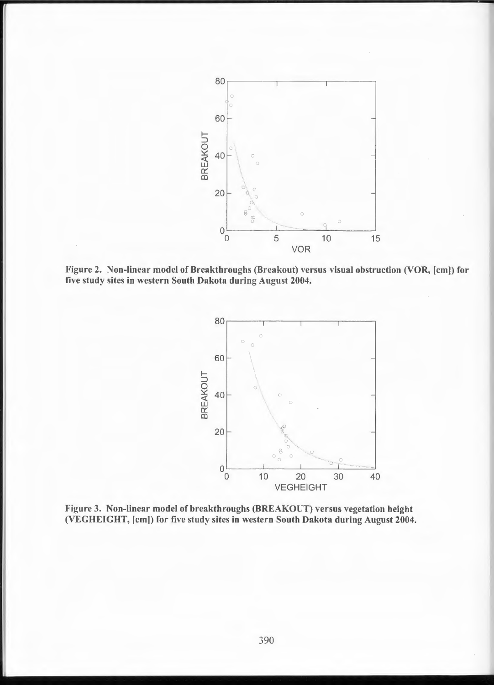

Figure 2. Non-linear model of Breakthroughs (Breakout) versus visual obstruction (VOR, [cm)) for five study sites in western South Dakota during August 2004.



Figure 3. Non-linear model of breakthroughs (BREAKOUT) versus vegetation height (VEGHEIGHT, [cm)) for five study sites in western South Dakota during August 2004.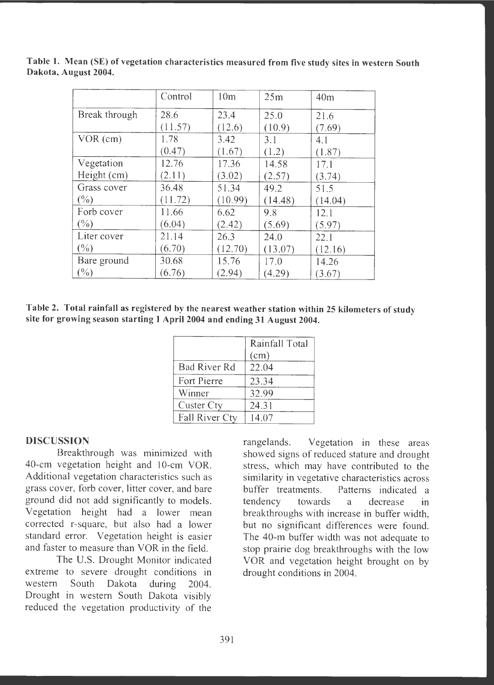|                 | Control | 10 <sub>m</sub> | 25m     | 40 <sub>m</sub> |
|-----------------|---------|-----------------|---------|-----------------|
| Break through   | 28.6    | 23.4            | 25.0    | 21.6            |
|                 | (11.57) | (12.6)          | (10.9)  | (7.69)          |
| $VOR$ (cm)      | 1.78    | 3.42            | 3.1     | 4.1             |
|                 | (0.47)  | (1.67)          | (1.2)   | (1.87)          |
| Vegetation      | 12.76   | 17.36           | 14.58   | 17.1            |
| Height (cm)     | (2.11)  | (3.02)          | (2.57)  | (3.74)          |
| Grass cover     | 36.48   | 51.34           | 49.2    | 51.5            |
| $(\%)$          | (11.72) | (10.99)         | (14.48) | (14.04)         |
| Forb cover      | 11.66   | 6.62            | 9.8     | 12.1            |
| $(\%)$          | (6.04)  | (2.42)          | (5.69)  | (5.97)          |
| Liter cover     | 21.14   | 26.3            | 24.0    | 22.1            |
| $(\frac{0}{0})$ | (6.70)  | (12.70)         | (13.07) | (12.16)         |
| Bare ground     | 30.68   | 15.76           | 17.0    | 14.26           |
| $(\frac{0}{0})$ | (6.76)  | (2.94)          | (4.29)  | (3.67)          |

**Table l. Mean (SE) of vegetation characteristics measured from five study sites in western South Dakota, August 2004.** 

**Table 2. Total rainfall as registered by the nearest weather station within 25 kilometers of study site for growing season starting 1 April 2004 and ending 31 August 2004.** 

|                | Rainfall Total |  |  |
|----------------|----------------|--|--|
|                | (cm)           |  |  |
| Bad River Rd   | 22.04          |  |  |
| Fort Pierre    | 23.34          |  |  |
| Winner         | 32.99          |  |  |
| Custer Cty     | 24.31          |  |  |
| Fall River Cty | 14.07          |  |  |

## **DISCUSSION**

Breakthrough was minimized with 40-cm vegetation height and 10-cm YOR . Additional vegetation characteristics such as grass cover, forb cover, litter cover, and bare ground did not add significantly to models. Vegetation height had a lower mean corrected r-square, but also had a lower standard error. Vegetation height is easier and faster to measure than YOR in the field.

The U.S. Drought Monitor indicated extreme to severe drought conditions in western South Dakota during 2004. Drought in western South Dakota visibly reduced the vegetation productivity of the

rangelands. Vegetation in these areas showed signs of reduced stature and drought stress, which may have contributed to the similarity in vegetative characteristics across buffer treatments. Patterns indicated a tendency towards a decrease in breakthroughs with increase in buffer width, but no significant differences were found. The 40-m buffer width was not adequate to stop prairie dog breakthroughs with the low VOR and vegetation height brought on by drought conditions in 2004.